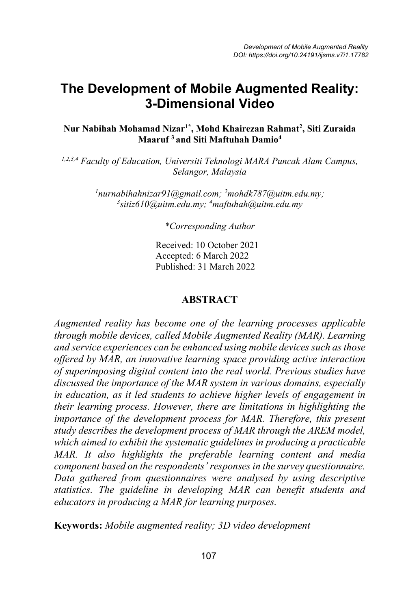# **The Development of Mobile Augmented Reality: 3-Dimensional Video**

#### **Nur Nabihah Mohamad Nizar1\* , Mohd Khairezan Rahmat2 , Siti Zuraida Maaruf <sup>3</sup> and Siti Maftuhah Damio4**

*1,2,3,4 Faculty of Education, Universiti Teknologi MARA Puncak Alam Campus, Selangor, Malaysia*

> *1 nurnabihahnizar91@gmail.com; 2 mohdk787@uitm.edu.my; 3 sitiz610@uitm.edu.my; <sup>4</sup> maftuhah@uitm.edu.my*

> > *\*Corresponding Author*

Received: 10 October 2021 Accepted: 6 March 2022 Published: 31 March 2022

#### **ABSTRACT**

*Augmented reality has become one of the learning processes applicable through mobile devices, called Mobile Augmented Reality (MAR). Learning and service experiences can be enhanced using mobile devices such as those offered by MAR, an innovative learning space providing active interaction of superimposing digital content into the real world. Previous studies have discussed the importance of the MAR system in various domains, especially in education, as it led students to achieve higher levels of engagement in their learning process. However, there are limitations in highlighting the importance of the development process for MAR. Therefore, this present study describes the development process of MAR through the AREM model, which aimed to exhibit the systematic guidelines in producing a practicable MAR. It also highlights the preferable learning content and media component based on the respondents' responses in the survey questionnaire. Data gathered from questionnaires were analysed by using descriptive statistics. The guideline in developing MAR can benefit students and educators in producing a MAR for learning purposes.*

**Keywords:** *Mobile augmented reality; 3D video development*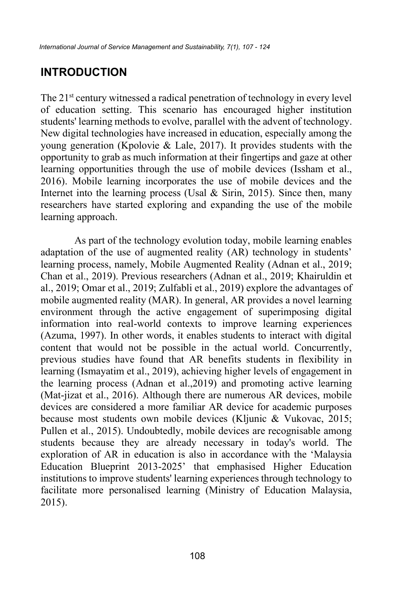# **INTRODUCTION**

The 21<sup>st</sup> century witnessed a radical penetration of technology in every level of education setting. This scenario has encouraged higher institution students' learning methods to evolve, parallel with the advent of technology. New digital technologies have increased in education, especially among the young generation (Kpolovie & Lale, 2017). It provides students with the opportunity to grab as much information at their fingertips and gaze at other learning opportunities through the use of mobile devices (Issham et al., 2016). Mobile learning incorporates the use of mobile devices and the Internet into the learning process (Usal  $\&$  Sirin, 2015). Since then, many researchers have started exploring and expanding the use of the mobile learning approach.

As part of the technology evolution today, mobile learning enables adaptation of the use of augmented reality (AR) technology in students' learning process, namely, Mobile Augmented Reality (Adnan et al., 2019; Chan et al., 2019). Previous researchers (Adnan et al., 2019; Khairuldin et al., 2019; Omar et al., 2019; Zulfabli et al., 2019) explore the advantages of mobile augmented reality (MAR). In general, AR provides a novel learning environment through the active engagement of superimposing digital information into real-world contexts to improve learning experiences (Azuma, 1997). In other words, it enables students to interact with digital content that would not be possible in the actual world. Concurrently, previous studies have found that AR benefits students in flexibility in learning (Ismayatim et al., 2019), achieving higher levels of engagement in the learning process (Adnan et al.,2019) and promoting active learning (Mat-jizat et al., 2016). Although there are numerous AR devices, mobile devices are considered a more familiar AR device for academic purposes because most students own mobile devices (Kljunic & Vukovac, 2015; Pullen et al., 2015). Undoubtedly, mobile devices are recognisable among students because they are already necessary in today's world. The exploration of AR in education is also in accordance with the 'Malaysia Education Blueprint 2013-2025' that emphasised Higher Education institutions to improve students' learning experiences through technology to facilitate more personalised learning (Ministry of Education Malaysia, 2015).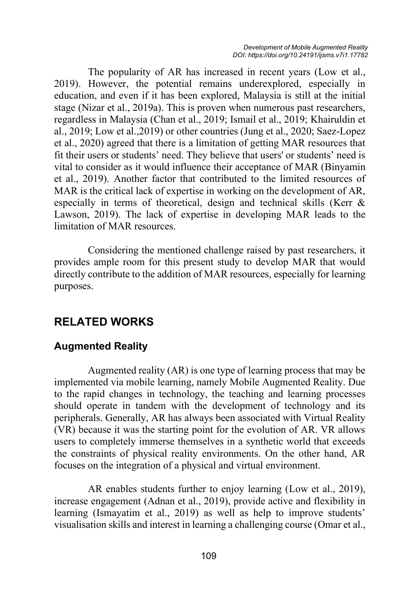The popularity of AR has increased in recent years (Low et al., 2019). However, the potential remains underexplored, especially in education, and even if it has been explored, Malaysia is still at the initial stage (Nizar et al., 2019a). This is proven when numerous past researchers, regardless in Malaysia (Chan et al., 2019; Ismail et al., 2019; Khairuldin et al., 2019; Low et al.,2019) or other countries (Jung et al., 2020; Saez-Lopez et al., 2020) agreed that there is a limitation of getting MAR resources that fit their users or students' need. They believe that users' or students' need is vital to consider as it would influence their acceptance of MAR (Binyamin et al., 2019). Another factor that contributed to the limited resources of MAR is the critical lack of expertise in working on the development of AR, especially in terms of theoretical, design and technical skills (Kerr & Lawson, 2019). The lack of expertise in developing MAR leads to the limitation of MAR resources.

Considering the mentioned challenge raised by past researchers, it provides ample room for this present study to develop MAR that would directly contribute to the addition of MAR resources, especially for learning purposes.

## **RELATED WORKS**

#### **Augmented Reality**

Augmented reality (AR) is one type of learning process that may be implemented via mobile learning, namely Mobile Augmented Reality. Due to the rapid changes in technology, the teaching and learning processes should operate in tandem with the development of technology and its peripherals. Generally, AR has always been associated with Virtual Reality (VR) because it was the starting point for the evolution of AR. VR allows users to completely immerse themselves in a synthetic world that exceeds the constraints of physical reality environments. On the other hand, AR focuses on the integration of a physical and virtual environment.

AR enables students further to enjoy learning (Low et al., 2019), increase engagement (Adnan et al., 2019), provide active and flexibility in learning (Ismayatim et al., 2019) as well as help to improve students' visualisation skills and interest in learning a challenging course (Omar et al.,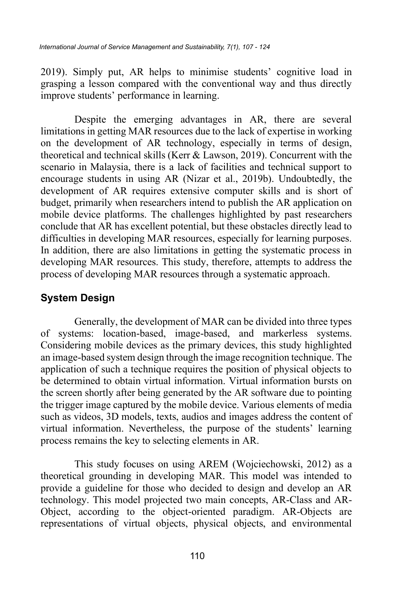2019). Simply put, AR helps to minimise students' cognitive load in grasping a lesson compared with the conventional way and thus directly improve students' performance in learning.

Despite the emerging advantages in AR, there are several limitations in getting MAR resources due to the lack of expertise in working on the development of AR technology, especially in terms of design, theoretical and technical skills (Kerr & Lawson, 2019). Concurrent with the scenario in Malaysia, there is a lack of facilities and technical support to encourage students in using AR (Nizar et al., 2019b). Undoubtedly, the development of AR requires extensive computer skills and is short of budget, primarily when researchers intend to publish the AR application on mobile device platforms. The challenges highlighted by past researchers conclude that AR has excellent potential, but these obstacles directly lead to difficulties in developing MAR resources, especially for learning purposes. In addition, there are also limitations in getting the systematic process in developing MAR resources. This study, therefore, attempts to address the process of developing MAR resources through a systematic approach.

### **System Design**

Generally, the development of MAR can be divided into three types of systems: location-based, image-based, and markerless systems. Considering mobile devices as the primary devices, this study highlighted an image-based system design through the image recognition technique. The application of such a technique requires the position of physical objects to be determined to obtain virtual information. Virtual information bursts on the screen shortly after being generated by the AR software due to pointing the trigger image captured by the mobile device. Various elements of media such as videos, 3D models, texts, audios and images address the content of virtual information. Nevertheless, the purpose of the students' learning process remains the key to selecting elements in AR.

This study focuses on using AREM (Wojciechowski, 2012) as a theoretical grounding in developing MAR. This model was intended to provide a guideline for those who decided to design and develop an AR technology. This model projected two main concepts, AR-Class and AR-Object, according to the object-oriented paradigm. AR-Objects are representations of virtual objects, physical objects, and environmental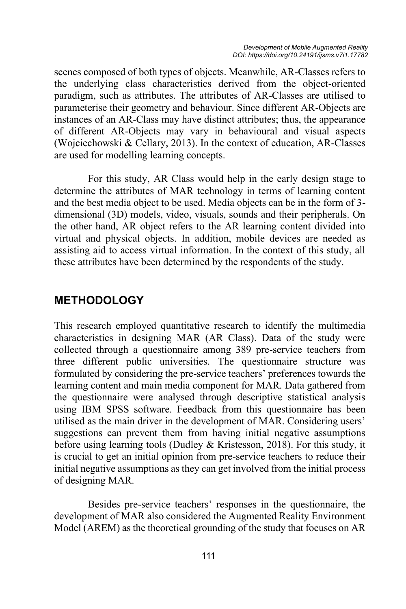scenes composed of both types of objects. Meanwhile, AR-Classes refers to the underlying class characteristics derived from the object-oriented paradigm, such as attributes. The attributes of AR-Classes are utilised to parameterise their geometry and behaviour. Since different AR-Objects are instances of an AR-Class may have distinct attributes; thus, the appearance of different AR-Objects may vary in behavioural and visual aspects (Wojciechowski & Cellary, 2013). In the context of education, AR-Classes are used for modelling learning concepts.

For this study, AR Class would help in the early design stage to determine the attributes of MAR technology in terms of learning content and the best media object to be used. Media objects can be in the form of 3 dimensional (3D) models, video, visuals, sounds and their peripherals. On the other hand, AR object refers to the AR learning content divided into virtual and physical objects. In addition, mobile devices are needed as assisting aid to access virtual information. In the context of this study, all these attributes have been determined by the respondents of the study.

### **METHODOLOGY**

This research employed quantitative research to identify the multimedia characteristics in designing MAR (AR Class). Data of the study were collected through a questionnaire among 389 pre-service teachers from three different public universities. The questionnaire structure was formulated by considering the pre-service teachers' preferences towards the learning content and main media component for MAR. Data gathered from the questionnaire were analysed through descriptive statistical analysis using IBM SPSS software. Feedback from this questionnaire has been utilised as the main driver in the development of MAR. Considering users' suggestions can prevent them from having initial negative assumptions before using learning tools (Dudley & Kristesson, 2018). For this study, it is crucial to get an initial opinion from pre-service teachers to reduce their initial negative assumptions as they can get involved from the initial process of designing MAR.

Besides pre-service teachers' responses in the questionnaire, the development of MAR also considered the Augmented Reality Environment Model (AREM) as the theoretical grounding of the study that focuses on AR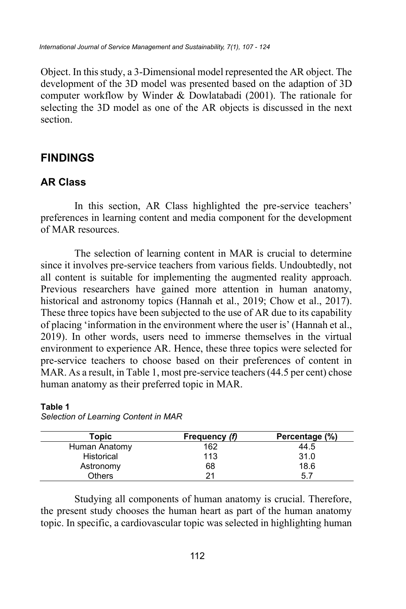*International Journal of Service Management and Sustainability, 7(1), 107 - 124*

Object. In this study, a 3-Dimensional model represented the AR object. The development of the 3D model was presented based on the adaption of 3D computer workflow by Winder & Dowlatabadi (2001). The rationale for selecting the 3D model as one of the AR objects is discussed in the next section.

## **FINDINGS**

### **AR Class**

In this section, AR Class highlighted the pre-service teachers' preferences in learning content and media component for the development of MAR resources.

The selection of learning content in MAR is crucial to determine since it involves pre-service teachers from various fields. Undoubtedly, not all content is suitable for implementing the augmented reality approach. Previous researchers have gained more attention in human anatomy, historical and astronomy topics (Hannah et al., 2019; Chow et al., 2017). These three topics have been subjected to the use of AR due to its capability of placing 'information in the environment where the user is' (Hannah et al., 2019). In other words, users need to immerse themselves in the virtual environment to experience AR. Hence, these three topics were selected for pre-service teachers to choose based on their preferences of content in MAR. As a result, in Table 1, most pre-service teachers (44.5 per cent) chose human anatomy as their preferred topic in MAR.

| Topic         | Frequency (f) | Percentage (%) |
|---------------|---------------|----------------|
| Human Anatomy | 162           | 44.5           |
| Historical    | 113           | 31.0           |
| Astronomy     | 68            | 18.6           |
| Others        | 21            | 5.7            |

**Table 1** *Selection of Learning Content in MAR*

Studying all components of human anatomy is crucial. Therefore, the present study chooses the human heart as part of the human anatomy topic. In specific, a cardiovascular topic was selected in highlighting human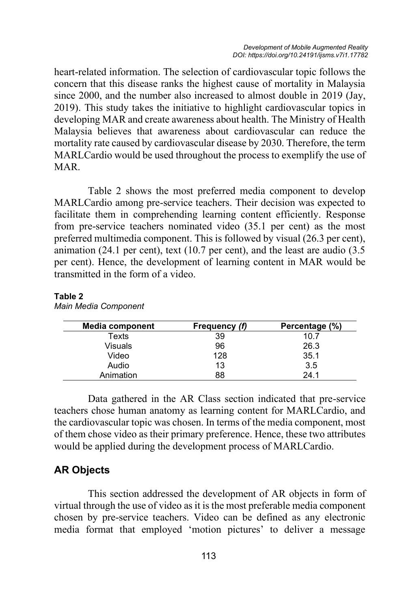heart-related information. The selection of cardiovascular topic follows the concern that this disease ranks the highest cause of mortality in Malaysia since 2000, and the number also increased to almost double in 2019 (Jay, 2019). This study takes the initiative to highlight cardiovascular topics in developing MAR and create awareness about health. The Ministry of Health Malaysia believes that awareness about cardiovascular can reduce the mortality rate caused by cardiovascular disease by 2030. Therefore, the term MARLCardio would be used throughout the process to exemplify the use of MAR.

Table 2 shows the most preferred media component to develop MARLCardio among pre-service teachers. Their decision was expected to facilitate them in comprehending learning content efficiently. Response from pre-service teachers nominated video (35.1 per cent) as the most preferred multimedia component. This is followed by visual (26.3 per cent), animation (24.1 per cent), text (10.7 per cent), and the least are audio (3.5 per cent). Hence, the development of learning content in MAR would be transmitted in the form of a video.

#### **Table 2**

| <b>Media component</b> | Frequency (f) | Percentage (%) |
|------------------------|---------------|----------------|
| Texts                  | 39            | 10.7           |
| Visuals                | 96            | 26.3           |
| Video                  | 128           | 35.1           |
| Audio                  | 13            | 3.5            |
| Animation              | 88            | 24.1           |

*Main Media Component*

Data gathered in the AR Class section indicated that pre-service teachers chose human anatomy as learning content for MARLCardio, and the cardiovascular topic was chosen. In terms of the media component, most of them chose video as their primary preference. Hence, these two attributes would be applied during the development process of MARLCardio.

#### **AR Objects**

This section addressed the development of AR objects in form of virtual through the use of video as it is the most preferable media component chosen by pre-service teachers. Video can be defined as any electronic media format that employed 'motion pictures' to deliver a message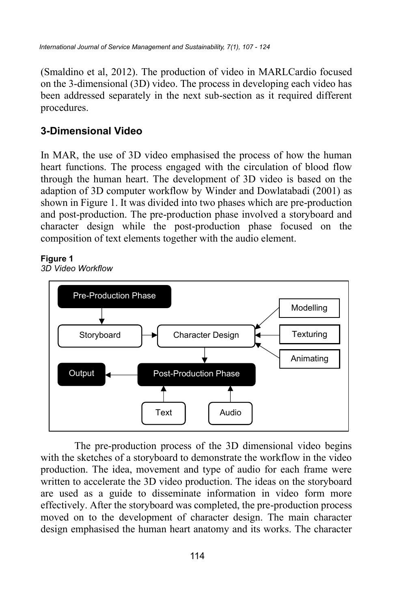(Smaldino et al, 2012). The production of video in MARLCardio focused on the 3-dimensional (3D) video. The process in developing each video has been addressed separately in the next sub-section as it required different procedures.

## **3-Dimensional Video**

In MAR, the use of 3D video emphasised the process of how the human heart functions. The process engaged with the circulation of blood flow through the human heart. The development of 3D video is based on the adaption of 3D computer workflow by Winder and Dowlatabadi (2001) as shown in Figure 1. It was divided into two phases which are pre-production and post-production. The pre-production phase involved a storyboard and character design while the post-production phase focused on the composition of text elements together with the audio element.

### **Figure 1**

*3D Video Workflow*



The pre-production process of the 3D dimensional video begins with the sketches of a storyboard to demonstrate the workflow in the video production. The idea, movement and type of audio for each frame were written to accelerate the 3D video production. The ideas on the storyboard are used as a guide to disseminate information in video form more effectively. After the storyboard was completed, the pre-production process moved on to the development of character design. The main character design emphasised the human heart anatomy and its works. The character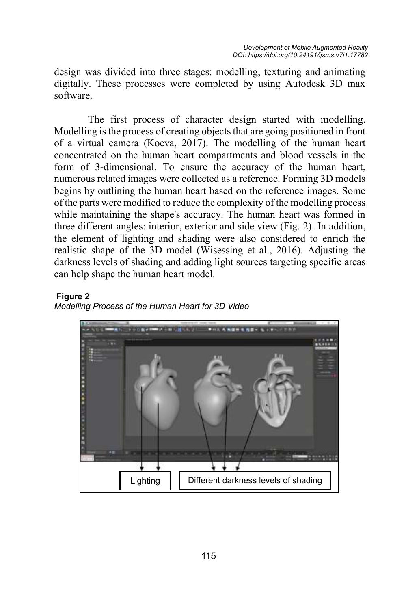design was divided into three stages: modelling, texturing and animating digitally. These processes were completed by using Autodesk 3D max software.

The first process of character design started with modelling. Modelling is the process of creating objects that are going positioned in front of a virtual camera (Koeva, 2017). The modelling of the human heart concentrated on the human heart compartments and blood vessels in the form of 3-dimensional. To ensure the accuracy of the human heart, numerous related images were collected as a reference. Forming 3D models begins by outlining the human heart based on the reference images. Some of the parts were modified to reduce the complexity of the modelling process while maintaining the shape's accuracy. The human heart was formed in three different angles: interior, exterior and side view (Fig. 2). In addition, the element of lighting and shading were also considered to enrich the realistic shape of the 3D model (Wisessing et al., 2016). Adjusting the darkness levels of shading and adding light sources targeting specific areas can help shape the human heart model.

#### **Figure 2**



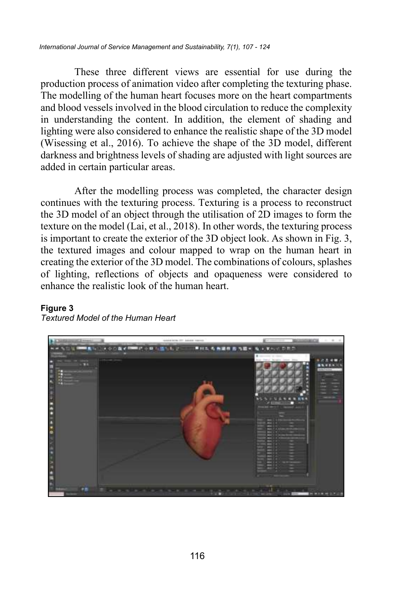These three different views are essential for use during the production process of animation video after completing the texturing phase. The modelling of the human heart focuses more on the heart compartments and blood vessels involved in the blood circulation to reduce the complexity in understanding the content. In addition, the element of shading and lighting were also considered to enhance the realistic shape of the 3D model (Wisessing et al., 2016). To achieve the shape of the 3D model, different darkness and brightness levels of shading are adjusted with light sources are added in certain particular areas.

After the modelling process was completed, the character design continues with the texturing process. Texturing is a process to reconstruct the 3D model of an object through the utilisation of 2D images to form the texture on the model (Lai, et al., 2018). In other words, the texturing process is important to create the exterior of the 3D object look. As shown in Fig. 3, the textured images and colour mapped to wrap on the human heart in creating the exterior of the 3D model. The combinations of colours, splashes of lighting, reflections of objects and opaqueness were considered to enhance the realistic look of the human heart.

#### **Figure 3**



*Textured Model of the Human Heart*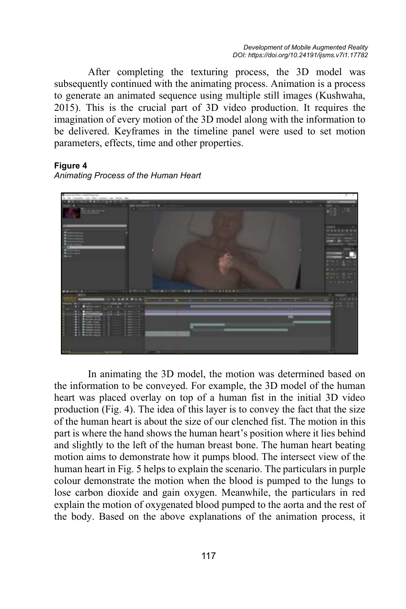After completing the texturing process, the 3D model was subsequently continued with the animating process. Animation is a process to generate an animated sequence using multiple still images (Kushwaha, 2015). This is the crucial part of 3D video production. It requires the imagination of every motion of the 3D model along with the information to be delivered. Keyframes in the timeline panel were used to set motion parameters, effects, time and other properties.

#### **Figure 4**

*Animating Process of the Human Heart* 



In animating the 3D model, the motion was determined based on the information to be conveyed. For example, the 3D model of the human heart was placed overlay on top of a human fist in the initial 3D video production (Fig. 4). The idea of this layer is to convey the fact that the size of the human heart is about the size of our clenched fist. The motion in this part is where the hand shows the human heart's position where it lies behind and slightly to the left of the human breast bone. The human heart beating motion aims to demonstrate how it pumps blood. The intersect view of the human heart in Fig. 5 helps to explain the scenario. The particulars in purple colour demonstrate the motion when the blood is pumped to the lungs to lose carbon dioxide and gain oxygen. Meanwhile, the particulars in red explain the motion of oxygenated blood pumped to the aorta and the rest of the body. Based on the above explanations of the animation process, it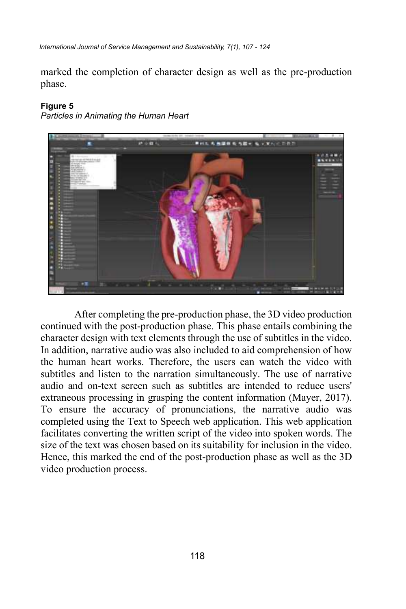*International Journal of Service Management and Sustainability, 7(1), 107 - 124*

marked the completion of character design as well as the pre-production phase.

#### **Figure 5**

*Particles in Animating the Human Heart*



After completing the pre-production phase, the 3D video production continued with the post-production phase. This phase entails combining the character design with text elements through the use of subtitles in the video. In addition, narrative audio was also included to aid comprehension of how the human heart works. Therefore, the users can watch the video with subtitles and listen to the narration simultaneously. The use of narrative audio and on-text screen such as subtitles are intended to reduce users' extraneous processing in grasping the content information (Mayer, 2017). To ensure the accuracy of pronunciations, the narrative audio was completed using the Text to Speech web application. This web application facilitates converting the written script of the video into spoken words. The size of the text was chosen based on its suitability for inclusion in the video. Hence, this marked the end of the post-production phase as well as the 3D video production process.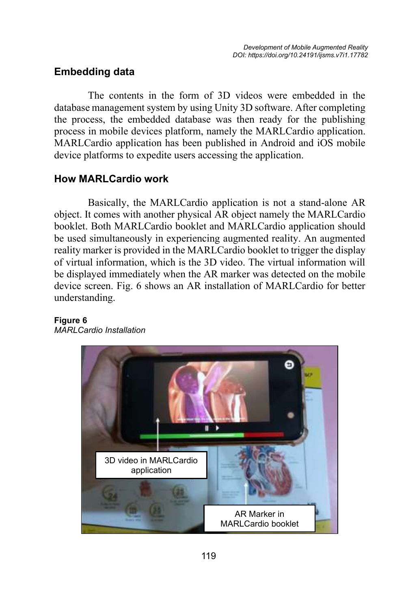### **Embedding data**

The contents in the form of 3D videos were embedded in the database management system by using Unity 3D software. After completing the process, the embedded database was then ready for the publishing process in mobile devices platform, namely the MARLCardio application. MARLCardio application has been published in Android and iOS mobile device platforms to expedite users accessing the application.

### **How MARLCardio work**

Basically, the MARLCardio application is not a stand-alone AR object. It comes with another physical AR object namely the MARLCardio booklet. Both MARLCardio booklet and MARLCardio application should be used simultaneously in experiencing augmented reality. An augmented reality marker is provided in the MARLCardio booklet to trigger the display of virtual information, which is the 3D video. The virtual information will be displayed immediately when the AR marker was detected on the mobile device screen. Fig. 6 shows an AR installation of MARLCardio for better understanding.



#### **Figure 6** *MARLCardio Installation*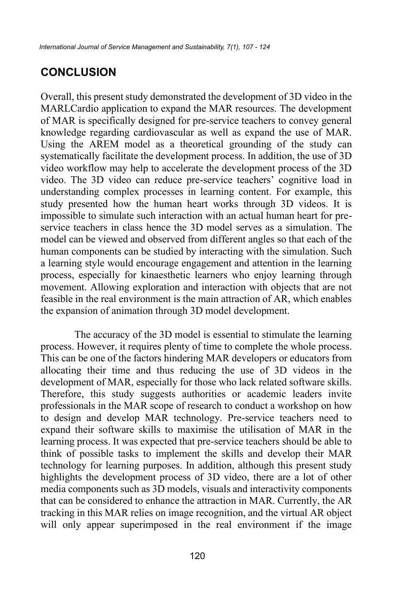## **CONCLUSION**

Overall, this present study demonstrated the development of 3D video in the MARLCardio application to expand the MAR resources. The development of MAR is specifically designed for pre-service teachers to convey general knowledge regarding cardiovascular as well as expand the use of MAR. Using the AREM model as a theoretical grounding of the study can systematically facilitate the development process. In addition, the use of 3D video workflow may help to accelerate the development process of the 3D video. The 3D video can reduce pre-service teachers' cognitive load in understanding complex processes in learning content. For example, this study presented how the human heart works through 3D videos. It is impossible to simulate such interaction with an actual human heart for preservice teachers in class hence the 3D model serves as a simulation. The model can be viewed and observed from different angles so that each of the human components can be studied by interacting with the simulation. Such a learning style would encourage engagement and attention in the learning process, especially for kinaesthetic learners who enjoy learning through movement. Allowing exploration and interaction with objects that are not feasible in the real environment is the main attraction of AR, which enables the expansion of animation through 3D model development.

The accuracy of the 3D model is essential to stimulate the learning process. However, it requires plenty of time to complete the whole process. This can be one of the factors hindering MAR developers or educators from allocating their time and thus reducing the use of 3D videos in the development of MAR, especially for those who lack related software skills. Therefore, this study suggests authorities or academic leaders invite professionals in the MAR scope of research to conduct a workshop on how to design and develop MAR technology. Pre-service teachers need to expand their software skills to maximise the utilisation of MAR in the learning process. It was expected that pre-service teachers should be able to think of possible tasks to implement the skills and develop their MAR technology for learning purposes. In addition, although this present study highlights the development process of 3D video, there are a lot of other media components such as 3D models, visuals and interactivity components that can be considered to enhance the attraction in MAR. Currently, the AR tracking in this MAR relies on image recognition, and the virtual AR object will only appear superimposed in the real environment if the image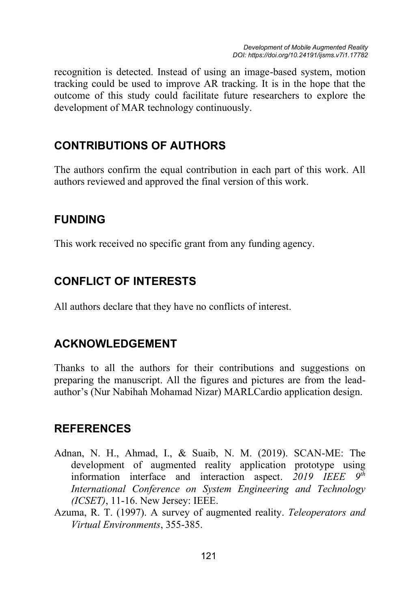recognition is detected. Instead of using an image-based system, motion tracking could be used to improve AR tracking. It is in the hope that the outcome of this study could facilitate future researchers to explore the development of MAR technology continuously.

# **CONTRIBUTIONS OF AUTHORS**

The authors confirm the equal contribution in each part of this work. All authors reviewed and approved the final version of this work.

## **FUNDING**

This work received no specific grant from any funding agency.

# **CONFLICT OF INTERESTS**

All authors declare that they have no conflicts of interest.

# **ACKNOWLEDGEMENT**

Thanks to all the authors for their contributions and suggestions on preparing the manuscript. All the figures and pictures are from the leadauthor's (Nur Nabihah Mohamad Nizar) MARLCardio application design.

### **REFERENCES**

- Adnan, N. H., Ahmad, I., & Suaib, N. M. (2019). SCAN-ME: The development of augmented reality application prototype using<br>information interface and interaction aspect 2019 IEEE  $Q^{th}$ information interface and interaction aspect. 2019 IEEE *International Conference on System Engineering and Technology (ICSET)*, 11-16. New Jersey: IEEE.
- Azuma, R. T. (1997). A survey of augmented reality. *Teleoperators and Virtual Environments*, 355-385.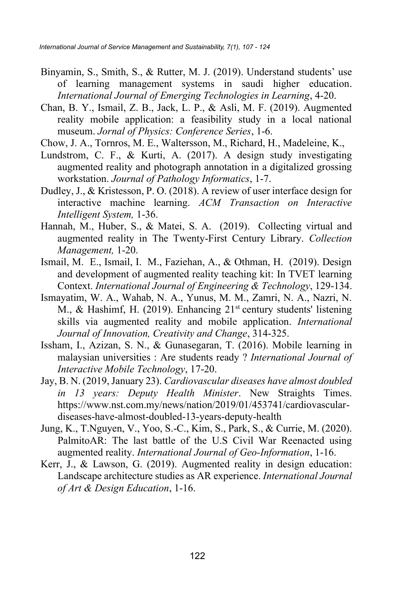- Binyamin, S., Smith, S., & Rutter, M. J. (2019). Understand students' use of learning management systems in saudi higher education. *International Journal of Emerging Technologies in Learning*, 4-20.
- Chan, B. Y., Ismail, Z. B., Jack, L. P., & Asli, M. F. (2019). Augmented reality mobile application: a feasibility study in a local national museum. *Jornal of Physics: Conference Series*, 1-6.
- Chow, J. A., Tornros, M. E., Waltersson, M., Richard, H., Madeleine, K.,
- Lundstrom, C. F., & Kurti, A. (2017). A design study investigating augmented reality and photograph annotation in a digitalized grossing workstation. *Journal of Pathology Informatics*, 1-7.
- Dudley, J., & Kristesson, P. O. (2018). A review of user interface design for interactive machine learning. *ACM Transaction on Interactive Intelligent System,* 1-36.
- Hannah, M., Huber, S., & Matei, S. A. (2019). Collecting virtual and augmented reality in The Twenty-First Century Library. *Collection Management,* 1-20.
- Ismail, M. E., Ismail, I. M., Faziehan, A., & Othman, H. (2019). Design and development of augmented reality teaching kit: In TVET learning Context. *International Journal of Engineering & Technology*, 129-134.
- Ismayatim, W. A., Wahab, N. A., Yunus, M. M., Zamri, N. A., Nazri, N. M., & Hashimf, H. (2019). Enhancing  $21<sup>st</sup>$  century students' listening skills via augmented reality and mobile application. *International Journal of Innovation, Creativity and Change*, 314-325.
- Issham, I., Azizan, S. N., & Gunasegaran, T. (2016). Mobile learning in malaysian universities : Are students ready ? *International Journal of Interactive Mobile Technology*, 17-20.
- Jay, B. N. (2019, January 23). *Cardiovascular diseases have almost doubled in 13 years: Deputy Health Minister*. New Straights Times. https://www.nst.com.my/news/nation/2019/01/453741/cardiovasculardiseases-have-almost-doubled-13-years-deputy-health
- Jung, K., T.Nguyen, V., Yoo, S.-C., Kim, S., Park, S., & Currie, M. (2020). PalmitoAR: The last battle of the U.S Civil War Reenacted using augmented reality. *International Journal of Geo-Information*, 1-16.
- Kerr, J., & Lawson, G. (2019). Augmented reality in design education: Landscape architecture studies as AR experience. *International Journal of Art & Design Education*, 1-16.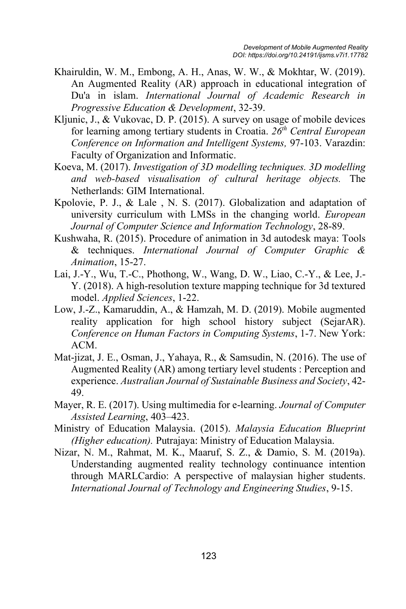- Khairuldin, W. M., Embong, A. H., Anas, W. W., & Mokhtar, W. (2019). An Augmented Reality (AR) approach in educational integration of Du'a in islam. *International Journal of Academic Research in Progressive Education & Development*, 32-39.
- Kljunic, J., & Vukovac, D. P. (2015). A survey on usage of mobile devices for learning among tertiary students in Croatia. *26th Central European Conference on Information and Intelligent Systems,* 97-103. Varazdin: Faculty of Organization and Informatic.
- Koeva, M. (2017). *Investigation of 3D modelling techniques. 3D modelling and web-based visualisation of cultural heritage objects.* The Netherlands: GIM International.
- Kpolovie, P. J., & Lale , N. S. (2017). Globalization and adaptation of university curriculum with LMSs in the changing world. *European Journal of Computer Science and Information Technology*, 28-89.
- Kushwaha, R. (2015). Procedure of animation in 3d autodesk maya: Tools & techniques. *International Journal of Computer Graphic & Animation*, 15-27.
- Lai, J.-Y., Wu, T.-C., Phothong, W., Wang, D. W., Liao, C.-Y., & Lee, J.- Y. (2018). A high-resolution texture mapping technique for 3d textured model. *Applied Sciences*, 1-22.
- Low, J.-Z., Kamaruddin, A., & Hamzah, M. D. (2019). Mobile augmented reality application for high school history subject (SejarAR). *Conference on Human Factors in Computing Systems*, 1-7. New York: ACM.
- Mat-jizat, J. E., Osman, J., Yahaya, R., & Samsudin, N. (2016). The use of Augmented Reality (AR) among tertiary level students : Perception and experience. *Australian Journal of Sustainable Business and Society*, 42- 49.
- Mayer, R. E. (2017). Using multimedia for e-learning. *Journal of Computer Assisted Learning*, 403–423.
- Ministry of Education Malaysia. (2015). *Malaysia Education Blueprint (Higher education).* Putrajaya: Ministry of Education Malaysia.
- Nizar, N. M., Rahmat, M. K., Maaruf, S. Z., & Damio, S. M. (2019a). Understanding augmented reality technology continuance intention through MARLCardio: A perspective of malaysian higher students. *International Journal of Technology and Engineering Studies*, 9-15.